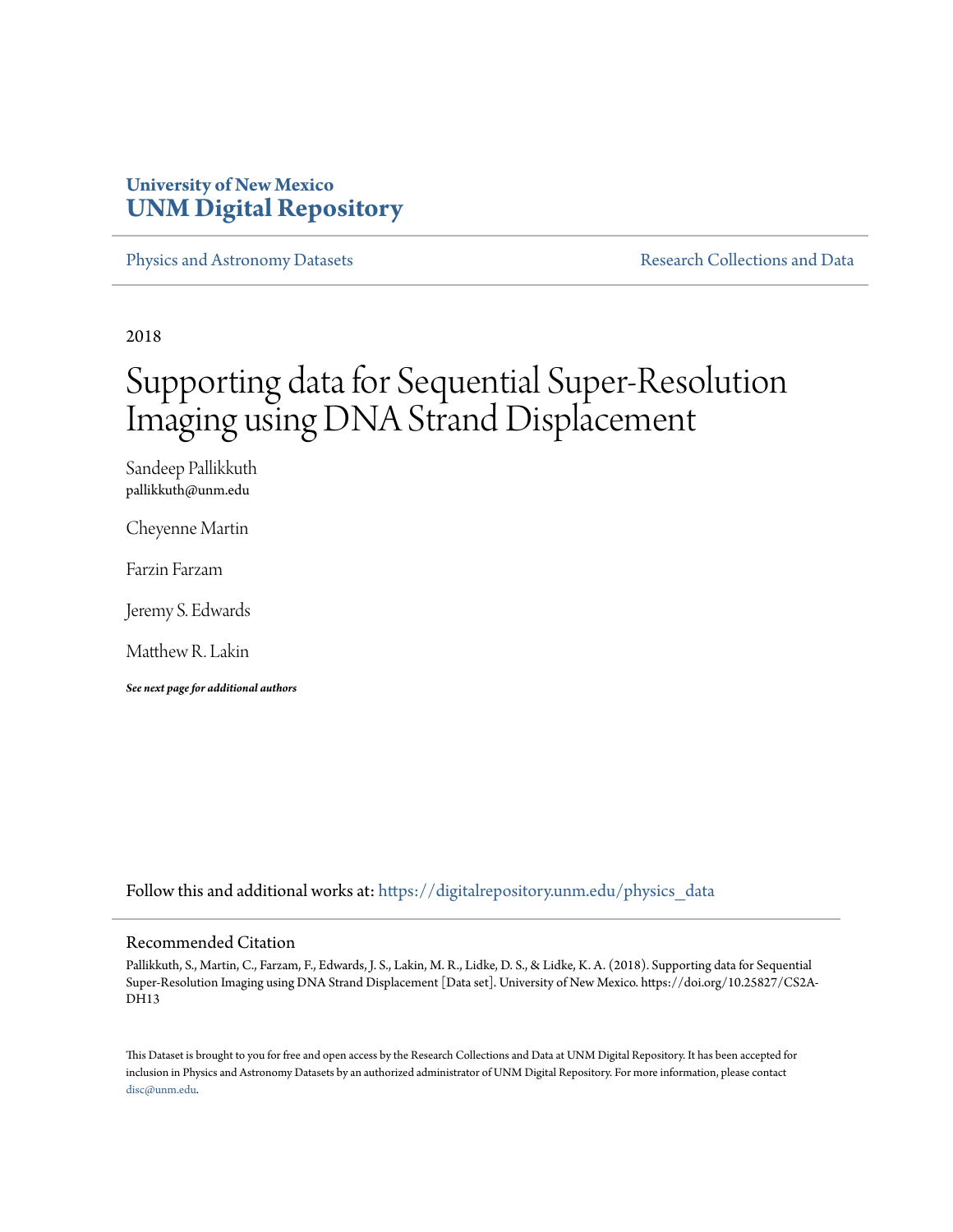## **University of New Mexico [UNM Digital Repository](https://digitalrepository.unm.edu?utm_source=digitalrepository.unm.edu%2Fphysics_data%2F3&utm_medium=PDF&utm_campaign=PDFCoverPages)**

[Physics and Astronomy Datasets](https://digitalrepository.unm.edu/physics_data?utm_source=digitalrepository.unm.edu%2Fphysics_data%2F3&utm_medium=PDF&utm_campaign=PDFCoverPages) [Research Collections and Data](https://digitalrepository.unm.edu/data?utm_source=digitalrepository.unm.edu%2Fphysics_data%2F3&utm_medium=PDF&utm_campaign=PDFCoverPages)

2018

# Supporting data for Sequential Super-Resolution Imaging using DNA Strand Displacement

Sandeep Pallikkuth pallikkuth@unm.edu

Cheyenne Martin

Farzin Farzam

Jeremy S. Edwards

Matthew R. Lakin

*See next page for additional authors*

Follow this and additional works at: [https://digitalrepository.unm.edu/physics\\_data](https://digitalrepository.unm.edu/physics_data?utm_source=digitalrepository.unm.edu%2Fphysics_data%2F3&utm_medium=PDF&utm_campaign=PDFCoverPages)

#### Recommended Citation

Pallikkuth, S., Martin, C., Farzam, F., Edwards, J. S., Lakin, M. R., Lidke, D. S., & Lidke, K. A. (2018). Supporting data for Sequential Super-Resolution Imaging using DNA Strand Displacement [Data set]. University of New Mexico. https://doi.org/10.25827/CS2A-DH13

This Dataset is brought to you for free and open access by the Research Collections and Data at UNM Digital Repository. It has been accepted for inclusion in Physics and Astronomy Datasets by an authorized administrator of UNM Digital Repository. For more information, please contact [disc@unm.edu](mailto:disc@unm.edu).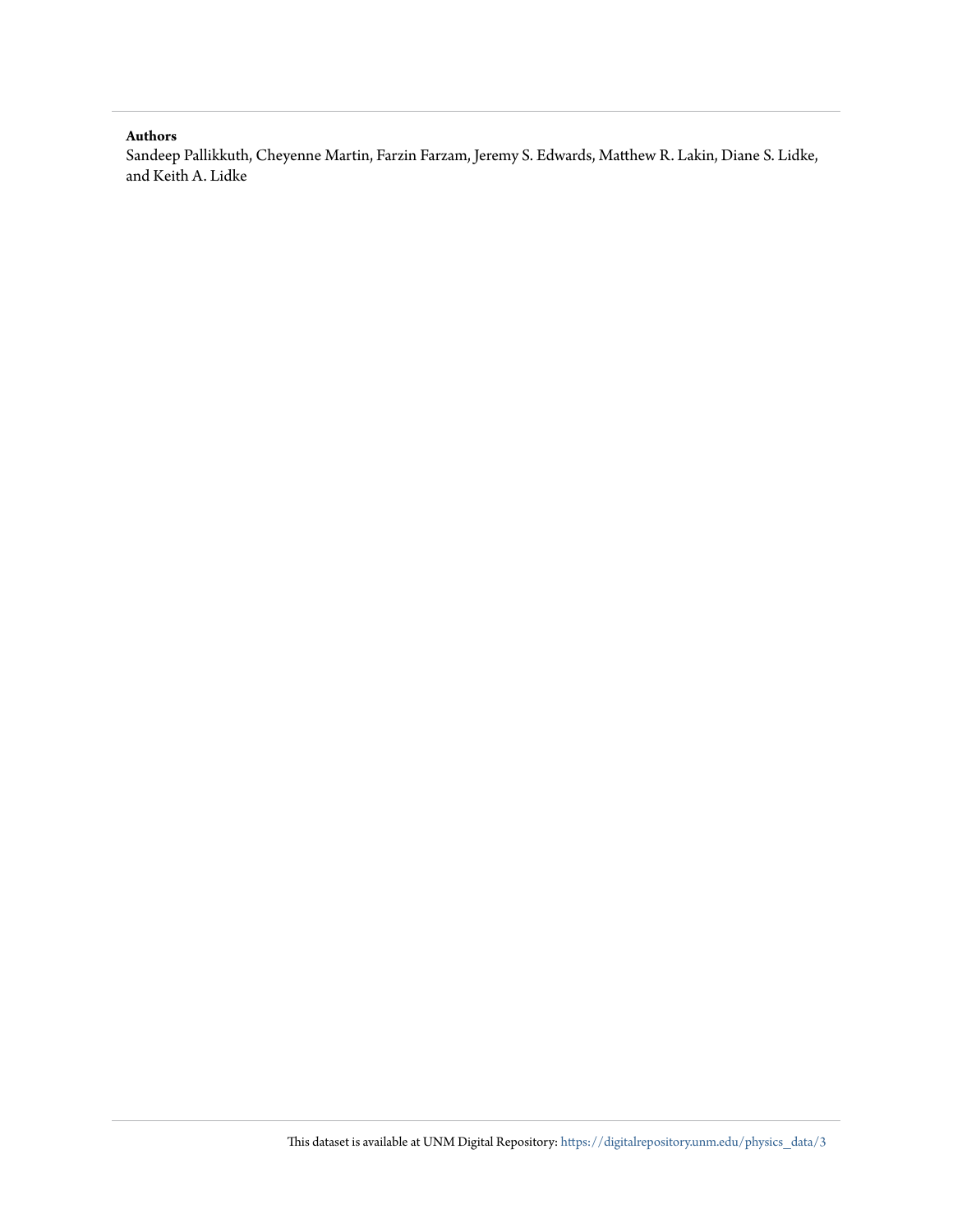#### **Authors**

Sandeep Pallikkuth, Cheyenne Martin, Farzin Farzam, Jeremy S. Edwards, Matthew R. Lakin, Diane S. Lidke, and Keith A. Lidke